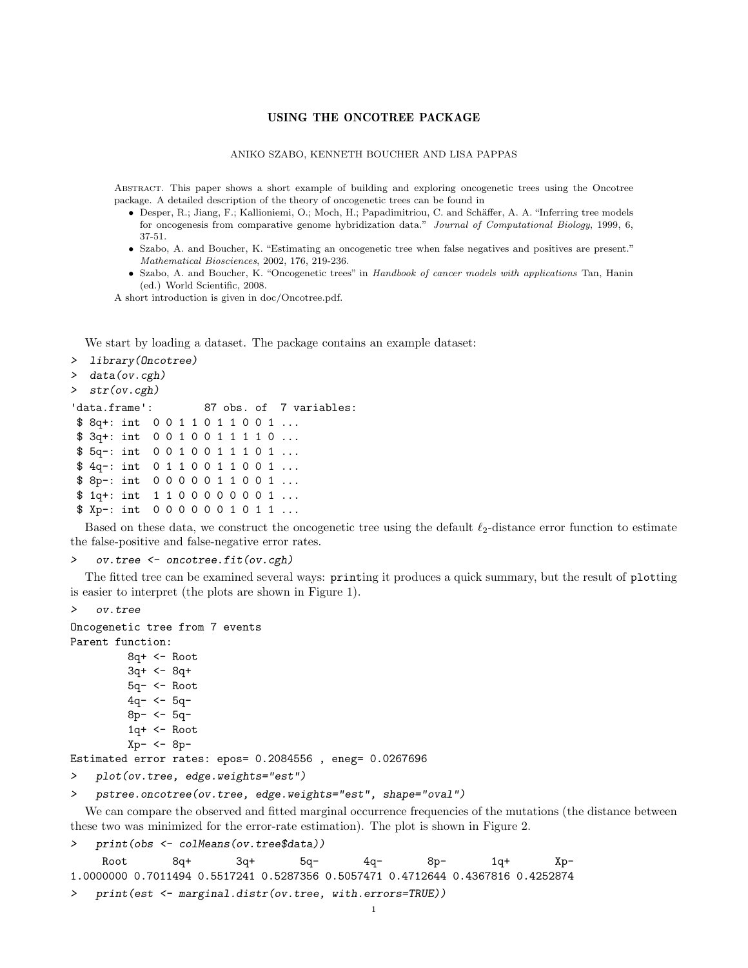## USING THE ONCOTREE PACKAGE

## ANIKO SZABO, KENNETH BOUCHER AND LISA PAPPAS

Abstract. This paper shows a short example of building and exploring oncogenetic trees using the Oncotree package. A detailed description of the theory of oncogenetic trees can be found in

- Desper, R.; Jiang, F.; Kallioniemi, O.; Moch, H.; Papadimitriou, C. and Schäffer, A. A. "Inferring tree models for oncogenesis from comparative genome hybridization data." Journal of Computational Biology, 1999, 6, 37-51.
- Szabo, A. and Boucher, K. "Estimating an oncogenetic tree when false negatives and positives are present." Mathematical Biosciences, 2002, 176, 219-236.
- Szabo, A. and Boucher, K. "Oncogenetic trees" in Handbook of cancer models with applications Tan, Hanin (ed.) World Scientific, 2008.

A short introduction is given in doc/Oncotree.pdf.

We start by loading a dataset. The package contains an example dataset:

```
> library(Oncotree)
```

```
> data(ov.cgh)
```

```
> str(ov.cgh)
```

```
'data.frame': 87 obs. of 7 variables:
$ 8q+: int 0 0 1 1 0 1 1 0 0 1 ...
$ 3q+: int 0 0 1 0 0 1 1 1 1 0 ...
$ 5q-: int 0 0 1 0 0 1 1 1 0 1 ...
$ 4q-: int 0 1 1 0 0 1 1 0 0 1 ...
$ 8p-: int 0 0 0 0 0 1 1 0 0 1 ...
$ 1q+: int 1 1 0 0 0 0 0 0 0 1 ...
$ Xp-: int 0 0 0 0 0 0 1 0 1 1 ...
```
Based on these data, we construct the oncogenetic tree using the default  $\ell_2$ -distance error function to estimate the false-positive and false-negative error rates.

## > ov.tree <- oncotree.fit(ov.cgh)

The fitted tree can be examined several ways: printing it produces a quick summary, but the result of plotting is easier to interpret (the plots are shown in Figure 1).

```
> ov.tree
Oncogenetic tree from 7 events
Parent function:
         8q+ <- Root
         3q+ <- 8q+
         5q- <- Root
         4q- <- 5q-
         8p- <- 5q-
         1q+ <- Root
         Xp- <- 8p-
Estimated error rates: epos= 0.2084556 , eneg= 0.0267696
```

```
> plot(ov.tree, edge.weights="est")
```

```
> pstree.oncotree(ov.tree, edge.weights="est", shape="oval")
```
We can compare the observed and fitted marginal occurrence frequencies of the mutations (the distance between these two was minimized for the error-rate estimation). The plot is shown in Figure 2.

> print(obs <- colMeans(ov.tree\$data))

| Root | 8a+ | 3a+ | 5a- | 4a- | 8p-                                                                             | 1q+ | $Xp-$ |
|------|-----|-----|-----|-----|---------------------------------------------------------------------------------|-----|-------|
|      |     |     |     |     | 1.0000000 0.7011494 0.5517241 0.5287356 0.5057471 0.4712644 0.4367816 0.4252874 |     |       |

```
> print(est <- marginal.distr(ov.tree, with.errors=TRUE))
```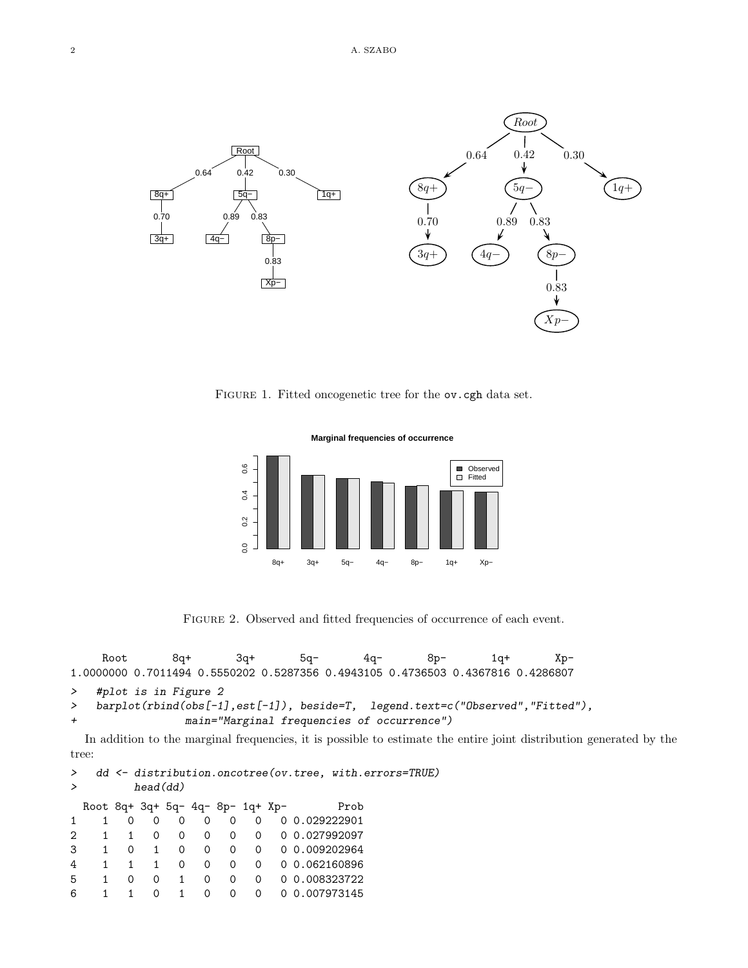

FIGURE 1. Fitted oncogenetic tree for the ov.cgh data set.



FIGURE 2. Observed and fitted frequencies of occurrence of each event.

Root 8q+ 3q+ 5q- 4q- 8p- 1q+ Xp-1.0000000 0.7011494 0.5550202 0.5287356 0.4943105 0.4736503 0.4367816 0.4286807 > #plot is in Figure 2 > barplot(rbind(obs[-1],est[-1]), beside=T, legend.text=c("Observed","Fitted"), + main="Marginal frequencies of occurrence")

In addition to the marginal frequencies, it is possible to estimate the entire joint distribution generated by the tree:

```
> dd <- distribution.oncotree(ov.tree, with.errors=TRUE)
> head(dd)
 Root 8q+ 3q+ 5q- 4q- 8p- 1q+ Xp- Prob
1 1 0 0 0 0 0 0 0 0.029222901
2 1 1 0 0 0 0 0 0 0.027992097
3 1 0 1 0 0 0 0 0 0.009202964
4 1 1 1 0 0 0 0 0 0.062160896
5 1 0 0 1 0 0 0 0 0.008323722
6 1 1 0 1 0 0 0 0 0.007973145
```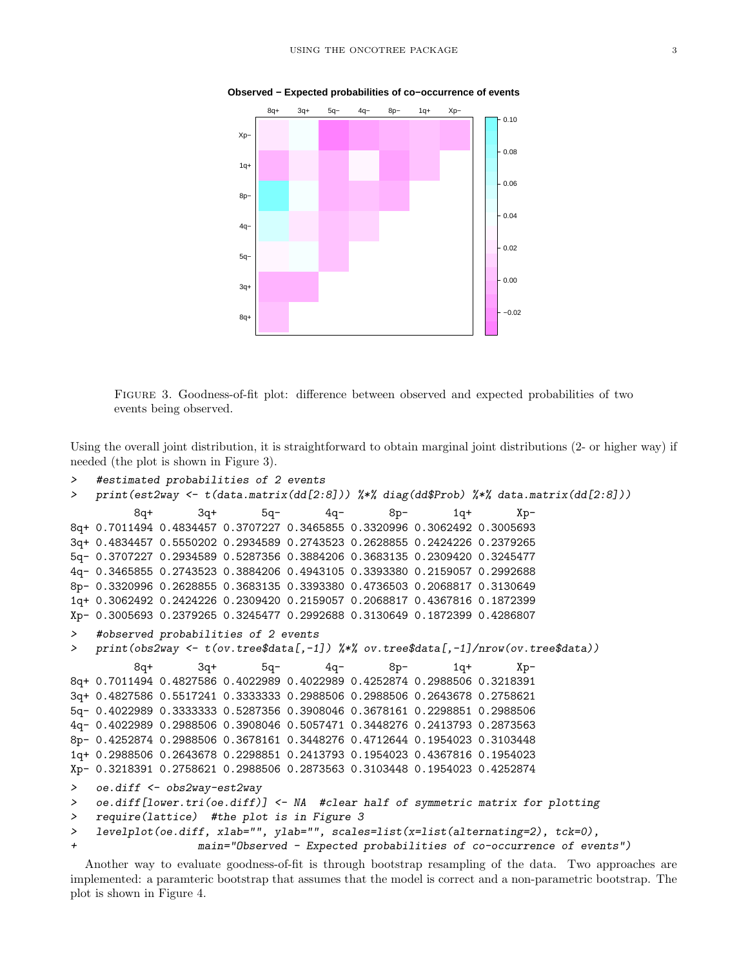

**Observed − Expected probabilities of co−occurrence of events**

Figure 3. Goodness-of-fit plot: difference between observed and expected probabilities of two events being observed.

Using the overall joint distribution, it is straightforward to obtain marginal joint distributions (2- or higher way) if needed (the plot is shown in Figure 3).

```
> #estimated probabilities of 2 events
> print(est2way <- t(data.matrix(dd[2:8])) %*% diag(dd$Prob) %*% data.matrix(dd[2:8]))
         8q+ 3q+ 5q- 4q- 8p- 1q+ Xp-
8q+ 0.7011494 0.4834457 0.3707227 0.3465855 0.3320996 0.3062492 0.3005693
3q+ 0.4834457 0.5550202 0.2934589 0.2743523 0.2628855 0.2424226 0.2379265
5q- 0.3707227 0.2934589 0.5287356 0.3884206 0.3683135 0.2309420 0.3245477
4q- 0.3465855 0.2743523 0.3884206 0.4943105 0.3393380 0.2159057 0.2992688
8p- 0.3320996 0.2628855 0.3683135 0.3393380 0.4736503 0.2068817 0.3130649
1q+ 0.3062492 0.2424226 0.2309420 0.2159057 0.2068817 0.4367816 0.1872399
Xp- 0.3005693 0.2379265 0.3245477 0.2992688 0.3130649 0.1872399 0.4286807
> #observed probabilities of 2 events
> print(obs2way <- t(ov.tree$data[,-1]) %*% ov.tree$data[,-1]/nrow(ov.tree$data))
         8q+ 3q+ 5q- 4q- 8p- 1q+ Xp-
8q+ 0.7011494 0.4827586 0.4022989 0.4022989 0.4252874 0.2988506 0.3218391
3q+ 0.4827586 0.5517241 0.3333333 0.2988506 0.2988506 0.2643678 0.2758621
5q- 0.4022989 0.3333333 0.5287356 0.3908046 0.3678161 0.2298851 0.2988506
4q- 0.4022989 0.2988506 0.3908046 0.5057471 0.3448276 0.2413793 0.2873563
8p- 0.4252874 0.2988506 0.3678161 0.3448276 0.4712644 0.1954023 0.3103448
1q+ 0.2988506 0.2643678 0.2298851 0.2413793 0.1954023 0.4367816 0.1954023
Xp- 0.3218391 0.2758621 0.2988506 0.2873563 0.3103448 0.1954023 0.4252874
> oe.diff <- obs2way-est2way
> oe.diff[lower.tri(oe.diff)] <- NA #clear half of symmetric matrix for plotting
> require(lattice) #the plot is in Figure 3
> levelplot(oe.diff, xlab="", ylab="", scales=list(x=list(alternating=2), tck=0),
                   main="Observed - Expected probabilities of co-occurrence of events")
```
Another way to evaluate goodness-of-fit is through bootstrap resampling of the data. Two approaches are implemented: a paramteric bootstrap that assumes that the model is correct and a non-parametric bootstrap. The plot is shown in Figure 4.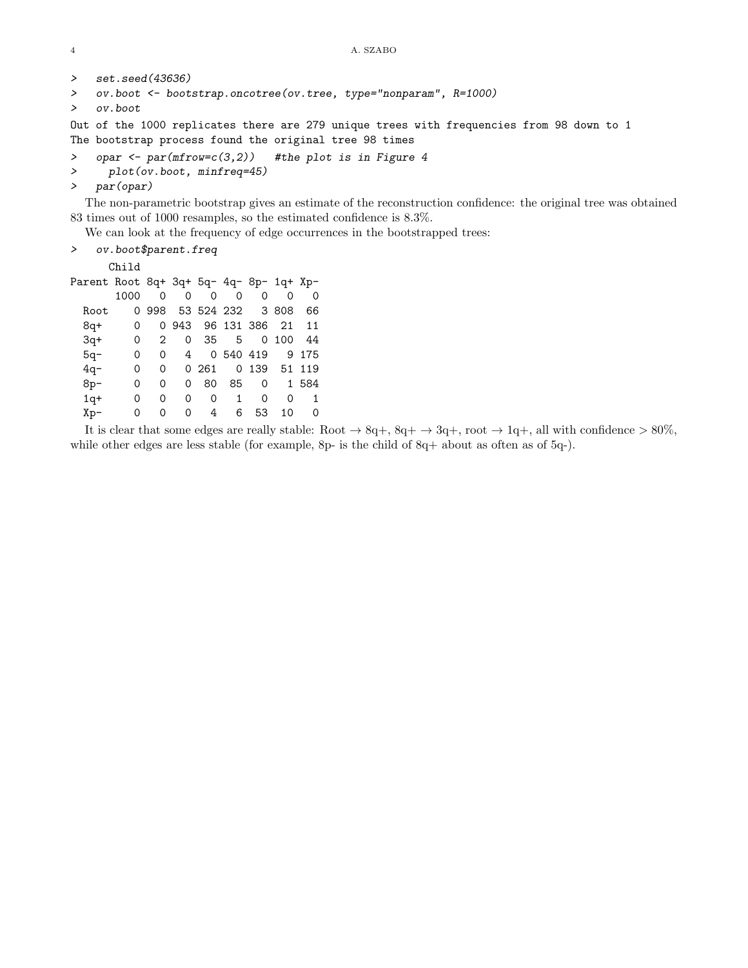```
4 A. SZABO
```

```
> set.seed(43636)
```

```
> ov.boot <- bootstrap.oncotree(ov.tree, type="nonparam", R=1000)
```

```
> ov.boot
```
Out of the 1000 replicates there are 279 unique trees with frequencies from 98 down to 1 The bootstrap process found the original tree 98 times

> opar  $\leq$  par(mfrow=c(3,2)) #the plot is in Figure 4

```
> plot(ov.boot, minfreq=45)
```
> par(opar)

The non-parametric bootstrap gives an estimate of the reconstruction confidence: the original tree was obtained 83 times out of 1000 resamples, so the estimated confidence is 8.3%.

We can look at the frequency of edge occurrences in the bootstrapped trees:

```
> ov.boot$parent.freq
```
Child

| Parent Root 8q+ 3q+ 5q- 4q- 8p- 1q+ Xp- |      |          |                        |    |             |                                    |          |                         |
|-----------------------------------------|------|----------|------------------------|----|-------------|------------------------------------|----------|-------------------------|
|                                         | 1000 | $\Omega$ | $\Omega$               |    | $0 \quad 0$ | $\Omega$                           | $\Omega$ | $\Omega$                |
| Root                                    |      | 0998     | 53 524 232 3 808       |    |             |                                    |          | 66                      |
| 8q+                                     | 0    |          | 0 943 96 131 386 21 11 |    |             |                                    |          |                         |
| $3q+$                                   | 0    | 2        |                        |    |             | $0\quad 35\quad 5\quad 0\quad 100$ |          | - 44                    |
| $5q-$                                   | 0    | 0        |                        |    |             | 4 0 540 419                        |          | 9 175                   |
| $4q-$                                   | 0    | 0        |                        |    |             | 0 261 0 139 51 119                 |          |                         |
| $8p-$                                   | 0    | 0        | 0                      | 80 | 85          | $\Omega$                           |          | 1 584                   |
| $1q+$                                   | 0    | 0        | 0                      | 0  | 1           | $\Omega$                           | $\Omega$ | $\overline{\mathbf{1}}$ |
| Xp-                                     | 0    | 0        | 0                      | 4  | 6           | 53                                 | 10       | $\Omega$                |
|                                         |      |          |                        |    |             |                                    |          |                         |

It is clear that some edges are really stable: Root  $\rightarrow 8q+$ ,  $8q+$   $\rightarrow 3q+$ , root  $\rightarrow 1q+$ , all with confidence  $> 80\%$ , while other edges are less stable (for example, 8p- is the child of 8q+ about as often as of 5q-).